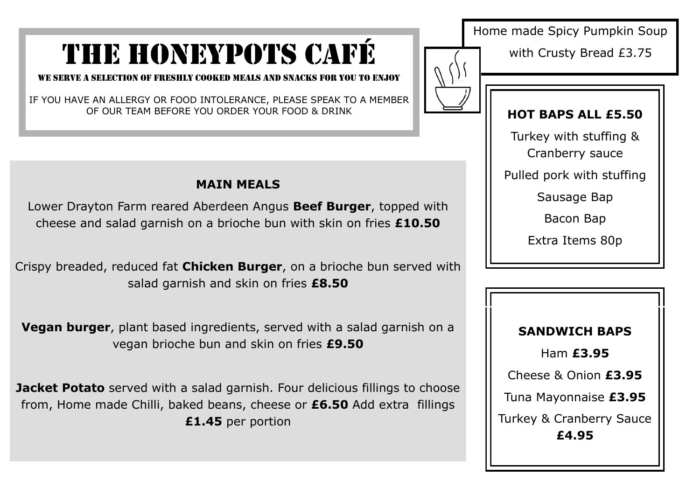# THE HONEYPOTS CAFÉ

WE serve a selection of freshly cooked meals and snacks for you to enjoy

IF YOU HAVE AN ALLERGY OR FOOD INTOLERANCE, PLEASE SPEAK TO A MEMBER OF OUR TEAM BEFORE YOU ORDER YOUR FOOD & DRINK

#### **MAIN MEALS**

Lower Drayton Farm reared Aberdeen Angus **Beef Burger**, topped with cheese and salad garnish on a brioche bun with skin on fries **£10.50**

Crispy breaded, reduced fat **Chicken Burger**, on a brioche bun served with salad garnish and skin on fries **£8.50**

**Vegan burger**, plant based ingredients, served with a salad garnish on a vegan brioche bun and skin on fries **£9.50**

**Jacket Potato** served with a salad garnish. Four delicious fillings to choose from, Home made Chilli, baked beans, cheese or **£6.50** Add extra fillings **£1.45** per portion

Home made Spicy Pumpkin Soup

with Crusty Bread £3.75

#### **HOT BAPS ALL £5.50**

Turkey with stuffing &

Cranberry sauce

Pulled pork with stuffing

Sausage Bap

Bacon Bap

Extra Items 80p